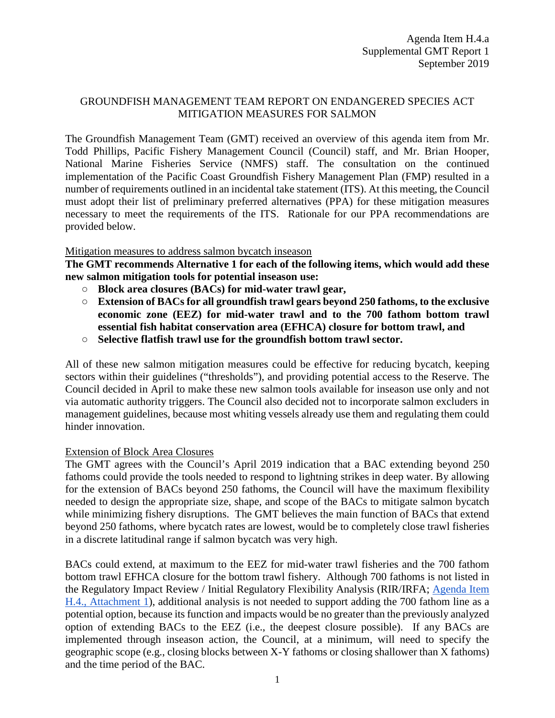### GROUNDFISH MANAGEMENT TEAM REPORT ON ENDANGERED SPECIES ACT MITIGATION MEASURES FOR SALMON

The Groundfish Management Team (GMT) received an overview of this agenda item from Mr. Todd Phillips, Pacific Fishery Management Council (Council) staff, and Mr. Brian Hooper, National Marine Fisheries Service (NMFS) staff. The consultation on the continued implementation of the Pacific Coast Groundfish Fishery Management Plan (FMP) resulted in a number of requirements outlined in an incidental take statement (ITS). At this meeting, the Council must adopt their list of preliminary preferred alternatives (PPA) for these mitigation measures necessary to meet the requirements of the ITS. Rationale for our PPA recommendations are provided below.

#### Mitigation measures to address salmon bycatch inseason

**The GMT recommends Alternative 1 for each of the following items, which would add these new salmon mitigation tools for potential inseason use:**

- **Block area closures (BACs) for mid-water trawl gear,**
- **Extension of BACs for all groundfish trawl gears beyond 250 fathoms, to the exclusive economic zone (EEZ) for mid-water trawl and to the 700 fathom bottom trawl essential fish habitat conservation area (EFHCA) closure for bottom trawl, and**
- **Selective flatfish trawl use for the groundfish bottom trawl sector.**

All of these new salmon mitigation measures could be effective for reducing bycatch, keeping sectors within their guidelines ("thresholds"), and providing potential access to the Reserve. The Council decided in April to make these new salmon tools available for inseason use only and not via automatic authority triggers. The Council also decided not to incorporate salmon excluders in management guidelines, because most whiting vessels already use them and regulating them could hinder innovation.

#### Extension of Block Area Closures

The GMT agrees with the Council's April 2019 indication that a BAC extending beyond 250 fathoms could provide the tools needed to respond to lightning strikes in deep water. By allowing for the extension of BACs beyond 250 fathoms, the Council will have the maximum flexibility needed to design the appropriate size, shape, and scope of the BACs to mitigate salmon bycatch while minimizing fishery disruptions. The GMT believes the main function of BACs that extend beyond 250 fathoms, where bycatch rates are lowest, would be to completely close trawl fisheries in a discrete latitudinal range if salmon bycatch was very high.

BACs could extend, at maximum to the EEZ for mid-water trawl fisheries and the 700 fathom bottom trawl EFHCA closure for the bottom trawl fishery. Although 700 fathoms is not listed in the Regulatory Impact Review / Initial Regulatory Flexibility Analysis (RIR/IRFA; [Agenda Item](https://www.pcouncil.org/wp-content/uploads/2019/08/H4_Att1_ESA_Salmon_Mit_Meas_RIR_SEPT2019BB.pdf)  [H.4., Attachment 1\)](https://www.pcouncil.org/wp-content/uploads/2019/08/H4_Att1_ESA_Salmon_Mit_Meas_RIR_SEPT2019BB.pdf), additional analysis is not needed to support adding the 700 fathom line as a potential option, because its function and impacts would be no greater than the previously analyzed option of extending BACs to the EEZ (i.e., the deepest closure possible). If any BACs are implemented through inseason action, the Council, at a minimum, will need to specify the geographic scope (e.g., closing blocks between X-Y fathoms or closing shallower than X fathoms) and the time period of the BAC.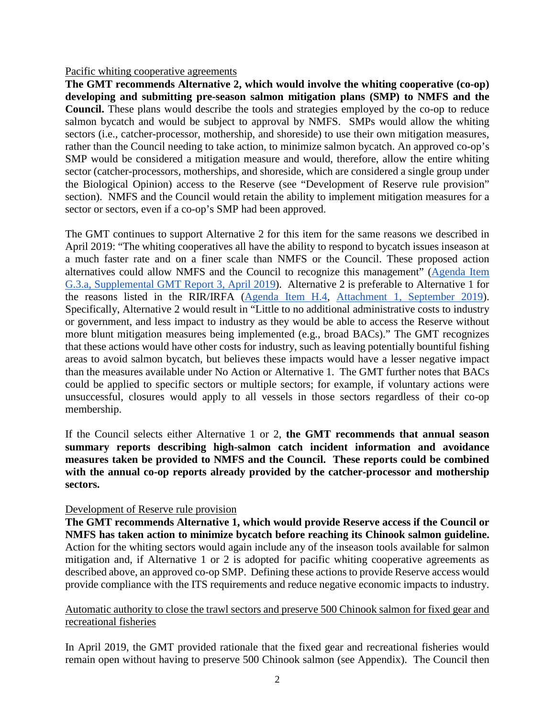#### Pacific whiting cooperative agreements

**The GMT recommends Alternative 2, which would involve the whiting cooperative (co-op) developing and submitting pre-season salmon mitigation plans (SMP) to NMFS and the Council.** These plans would describe the tools and strategies employed by the co-op to reduce salmon bycatch and would be subject to approval by NMFS. SMPs would allow the whiting sectors (i.e., catcher-processor, mothership, and shoreside) to use their own mitigation measures, rather than the Council needing to take action, to minimize salmon bycatch. An approved co-op's SMP would be considered a mitigation measure and would, therefore, allow the entire whiting sector (catcher-processors, motherships, and shoreside, which are considered a single group under the Biological Opinion) access to the Reserve (see "Development of Reserve rule provision" section). NMFS and the Council would retain the ability to implement mitigation measures for a sector or sectors, even if a co-op's SMP had been approved.

The GMT continues to support Alternative 2 for this item for the same reasons we described in April 2019: "The whiting cooperatives all have the ability to respond to bycatch issues inseason at a much faster rate and on a finer scale than NMFS or the Council. These proposed action alternatives could allow NMFS and the Council to recognize this management" [\(Agenda Item](https://www.pcouncil.org/wp-content/uploads/2019/04/G3a_Supp_GMT_Rpt3_APR2019BB.pdf)  [G.3.a, Supplemental GMT Report 3, April 2019\)](https://www.pcouncil.org/wp-content/uploads/2019/04/G3a_Supp_GMT_Rpt3_APR2019BB.pdf). Alternative 2 is preferable to Alternative 1 for the reasons listed in the RIR/IRFA [\(Agenda Item H.4, Attachment 1, September 2019\)](https://www.pcouncil.org/wp-content/uploads/2019/08/H4_Att1_ESA_Salmon_Mit_Meas_RIR_SEPT2019BB.pdf). Specifically, Alternative 2 would result in "Little to no additional administrative costs to industry or government, and less impact to industry as they would be able to access the Reserve without more blunt mitigation measures being implemented (e.g., broad BACs)." The GMT recognizes that these actions would have other costs for industry, such as leaving potentially bountiful fishing areas to avoid salmon bycatch, but believes these impacts would have a lesser negative impact than the measures available under No Action or Alternative 1. The GMT further notes that BACs could be applied to specific sectors or multiple sectors; for example, if voluntary actions were unsuccessful, closures would apply to all vessels in those sectors regardless of their co-op membership.

If the Council selects either Alternative 1 or 2, **the GMT recommends that annual season summary reports describing high-salmon catch incident information and avoidance measures taken be provided to NMFS and the Council. These reports could be combined with the annual co-op reports already provided by the catcher-processor and mothership sectors.**

#### Development of Reserve rule provision

**The GMT recommends Alternative 1, which would provide Reserve access if the Council or NMFS has taken action to minimize bycatch before reaching its Chinook salmon guideline.**  Action for the whiting sectors would again include any of the inseason tools available for salmon mitigation and, if Alternative 1 or 2 is adopted for pacific whiting cooperative agreements as described above, an approved co-op SMP. Defining these actions to provide Reserve access would provide compliance with the ITS requirements and reduce negative economic impacts to industry.

#### Automatic authority to close the trawl sectors and preserve 500 Chinook salmon for fixed gear and recreational fisheries

In April 2019, the GMT provided rationale that the fixed gear and recreational fisheries would remain open without having to preserve 500 Chinook salmon (see Appendix). The Council then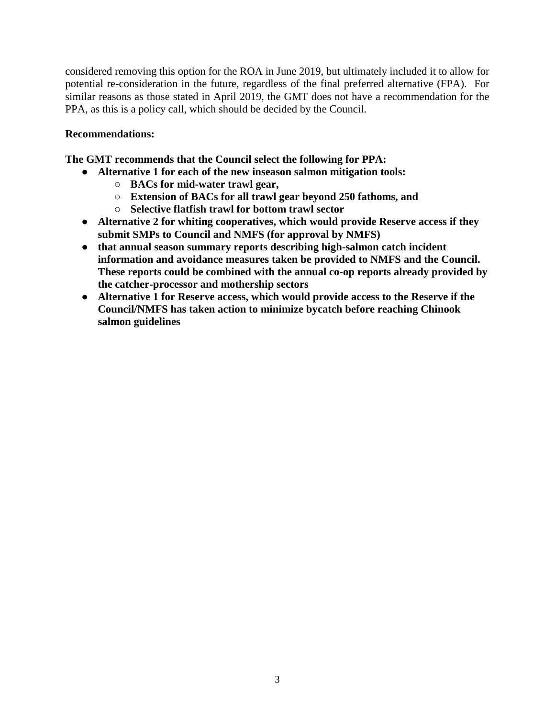considered removing this option for the ROA in June 2019, but ultimately included it to allow for potential re-consideration in the future, regardless of the final preferred alternative (FPA). For similar reasons as those stated in April 2019, the GMT does not have a recommendation for the PPA, as this is a policy call, which should be decided by the Council.

## **Recommendations:**

**The GMT recommends that the Council select the following for PPA:** 

- **Alternative 1 for each of the new inseason salmon mitigation tools:**
	- **BACs for mid-water trawl gear,**
	- **Extension of BACs for all trawl gear beyond 250 fathoms, and**
	- **Selective flatfish trawl for bottom trawl sector**
- **Alternative 2 for whiting cooperatives, which would provide Reserve access if they submit SMPs to Council and NMFS (for approval by NMFS)**
- **that annual season summary reports describing high-salmon catch incident information and avoidance measures taken be provided to NMFS and the Council. These reports could be combined with the annual co-op reports already provided by the catcher-processor and mothership sectors**
- **Alternative 1 for Reserve access, which would provide access to the Reserve if the Council/NMFS has taken action to minimize bycatch before reaching Chinook salmon guidelines**